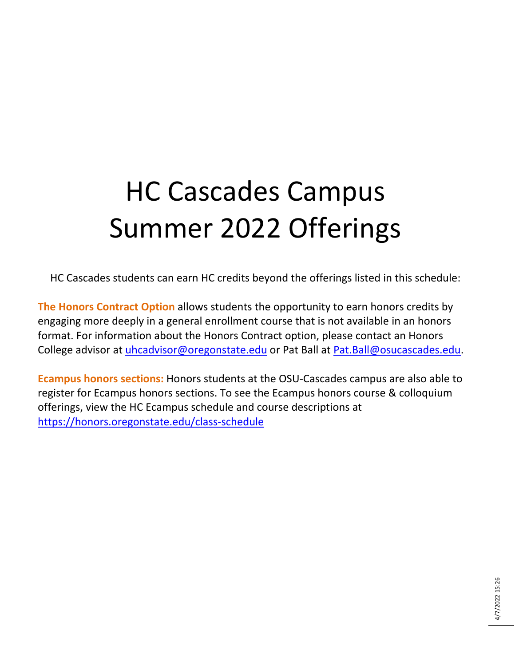## HC Cascades Campus Summer 2022 Offerings

HC Cascades students can earn HC credits beyond the offerings listed in this schedule:

**The Honors Contract Option** allows students the opportunity to earn honors credits by engaging more deeply in a general enrollment course that is not available in an honors format. For information about the Honors Contract option, please contact an Honors College advisor at *uhcadvisor@oregonstate.edu* or Pat Ball at [Pat.Ball@osucascades.edu.](mailto:Pat.Ball@osucascades.edu)

**Ecampus honors sections:** Honors students at the OSU-Cascades campus are also able to register for Ecampus honors sections. To see the Ecampus honors course & colloquium offerings, view the HC Ecampus schedule and course descriptions at <https://honors.oregonstate.edu/class-schedule>